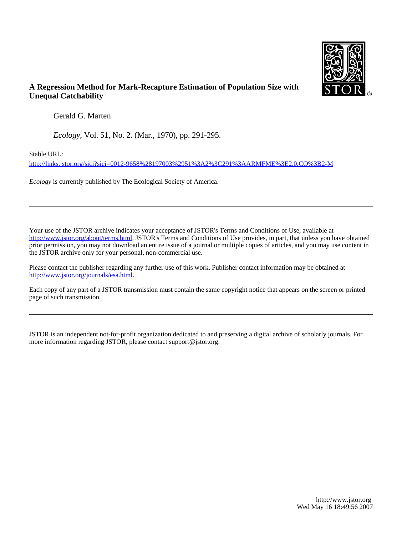

# **A Regression Method for Mark-Recapture Estimation of Population Size with Unequal Catchability**

Gerald G. Marten

*Ecology*, Vol. 51, No. 2. (Mar., 1970), pp. 291-295.

Stable URL:

<http://links.jstor.org/sici?sici=0012-9658%28197003%2951%3A2%3C291%3AARMFME%3E2.0.CO%3B2-M>

*Ecology* is currently published by The Ecological Society of America.

Your use of the JSTOR archive indicates your acceptance of JSTOR's Terms and Conditions of Use, available at [http://www.jstor.org/about/terms.html.](http://www.jstor.org/about/terms.html) JSTOR's Terms and Conditions of Use provides, in part, that unless you have obtained prior permission, you may not download an entire issue of a journal or multiple copies of articles, and you may use content in the JSTOR archive only for your personal, non-commercial use.

Please contact the publisher regarding any further use of this work. Publisher contact information may be obtained at <http://www.jstor.org/journals/esa.html>.

Each copy of any part of a JSTOR transmission must contain the same copyright notice that appears on the screen or printed page of such transmission.

JSTOR is an independent not-for-profit organization dedicated to and preserving a digital archive of scholarly journals. For more information regarding JSTOR, please contact support@jstor.org.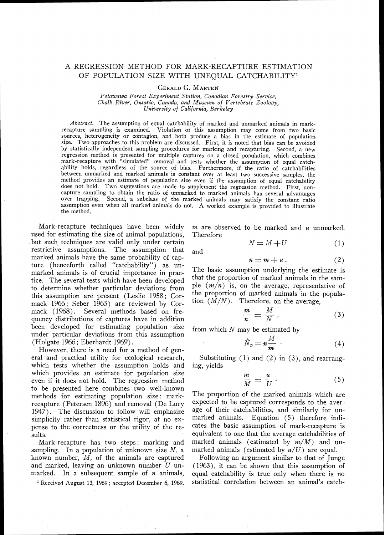## A REGRESSION METHOD FOR MARK-RECAPTURE ESTIMATION OF POPULATION SIZE WITH UNEQUAL CATCHABILITY<sup>1</sup>

### *GERALDG. MARTEN*

*Petawawa Forest Experiment Station, Canadian Forestry Service, Chalk River, Ontario, Canada, and Museum of Vertebrate Zoology, University of Califorwia, Berkeley* 

*Abstract.* The assumption of equal catchability of marked and unmarked animals in markrecapture sampling is examined. Violation of this assumption may come from two basic sources, heterogeneity or contagion, and both produce a bias in the estimate of population size. Two approaches to this problem are discussed. First, it is noted that bias can be avoided by statistically independent sampling procedures for marking and recapturing. Second, a new by statistically independent sampling procedures for marking and recapturing. Second, a new<br>regression method is presented for multiple captures on a closed population, which combines mark-recapture with "simulated" removal and tests whether the assumption of equal catchability holds, regardless of the source of bias. Furthermore, if the ratio of catchabilities between unmarked and marked animals is constant over at least two successive samples, the method provides an estimate of population size even if the assumption of equal catchability does not hold. Two suggestions are made to supplement the regression method. First, noncapture sampling to obtain the ratio of unmarked to marked animals has several advantages over trapping. Second, a subclass of the marked animals may satisfy the constant ratio assumption even when all marked animals do not. A worked example is provided to illustrate the method.

Mark-recapture techniques have been widely  $m$  are observed to be marked and  $u$  unmarked.<br>ed for estimating the size of animal populations. Therefore used for estimating the size of animal populations, but such techniques are valid only under certain restrictive assumptions. The assumption that and marked animals have the same probability of capture (henceforth called "catchability") as un-<br>marked animals is of crucial importance in proc. The basic assumption underlying the estimate is marked animals is of crucial importance in prac-<br>tine. The extension is the sam-<br>tine. The extends which have been developed that the proportion of marked animals in the samtice. The several tests which have been developed that the proportion of marked animals in the sam-<br>to determine whether particular deviations from  $\begin{array}{c}$  ple  $(m/n)$  is, on the average, representative of to determine whether particular deviations from  $P^{[e]}(m/n)$  is, on the average, representative of this assumption are present (Leslie 1958). Corn the proportion of marked animals in the populathis assumption are present (Leslie 1958; Cor-<br>mode 1066; Seber 1065) are reviewed by Cor-<br>tion  $(M/N)$ . Therefore, on the average, mack 1966; Seber 1965) are reviewed by Cor-<br>mack (1968). Several methods based on fre-Several methods based on frequency distributions of captures have in addition<br>been developed for estimating population size been developed for estimating population size  $f_{\text{r}}$  from which N may be estimated by under particular deviations from this assumption (Holgate 196; Eberhardt 1969).

However, there is a need for a method of general and practical utility for ecological research, Substituting (1) and (2) in (3), and rearrangwhich tests whether the assumption holds and ing vields which provides an estimate for population size even if it does not hold. The regression method to be presented here combines two well-known methods for estimating population size: mark-<br>recapture (Petersen 1896) and removal (De Lury expected to be captured corresponds to the averrecapture (Petersen 1896) and removal (De Lury expected to be captured corresponds to the aver-<br>1947) The discussion to follow will emphasize age of their catchabilities, and similarly for un-1947). The discussion to follow will emphasize simplicity rather than statistical rigor, at no ex- marked animals. Equation  $(5)$  therefore indi-<br>pense to the correctness or the utility of the re- cates the basic assumption of mark-recapture is pense to the correctness or the utility of the re-

Mark-recapture has two steps: marking and marked animals (estimated by  $m/M$ ) and unity mangle marked animals (estimated by  $u/U$ ) are equal. sampling. In a population of unknown size  $N$ , a marked animals (estimated by  $u/U$ ) are equal.<br>known number,  $M$ , of the animals are captured Following an argument similar to that of Junge known number,  $M$ , of the animals are captured and marked, leaving an unknown number *U* un- (1963), it can be shown that this assumption of

$$
N = M + U \tag{1}
$$

$$
n = m + u. \tag{2}
$$

$$
\frac{m}{n} = \frac{M}{N},\tag{3}
$$

$$
\hat{N}_p = n \frac{M}{m} \tag{4}
$$

$$
\frac{m}{M} = \frac{u}{U} \,. \tag{5}
$$

sults.<br>
sults. equivalent to one that the average catchabilities of<br>
Mark-recapture has two steps: marking and marked animals (estimated by  $m/M$ ) and un-

marked. In a subsequent sample of  $n$  animals, equal catchability is true only when there is no <sup>1</sup> Received August 13, 1969; accepted December 6, 1969. statistical correlation between an animal's catch-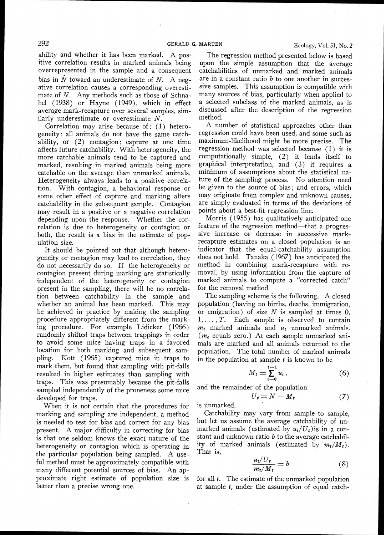ability and whether it has been marked. A positive correlation results in marked animals being overrepresented in the sample and a consequent bias in  $\hat{N}$  toward an underestimate of N. A negative correlation causes a corresponding overestimate of N. Any methods such as those of Schnabe1 (1938) or Hayne (1949), which in effect average mark-recapture over several samples, similarly underestimate or overestimate N.

Correlation may arise because of: (1) heterogeneity : all animals do not have the same catchability, or  $(2)$  contagion: capture at one time affects future catchability. With heterogeneity, the more catchable animals tend to be captured and marked, resulting in marked animals being more catchable on the average than unmarked animals. Heterogeneity always leads to a positive correlation. With contagion, a behavioral response or some other effect of capture and marking alters catchability in the subsequent sample. Contagion may result in a positive or a negative correlation depending upon the response. Whether the correlation is due to heterogeneity or contagion or both, the result is a bias in the estimate of population size.

It should be pointed out that although heterogeneity or contagion may lead to correlation, they do not necessarily do so. If the heterogeneity or contagion present during marking are statistically independent of the heterogeneity or contagion present in the sampling, there will be no correlation between catchability in the sample and whether an animal has been marked. This may be achieved in practice by making the sampling procedure appropriately different from the marking procedure. For example Lidicker (1966) randomly shifted traps between trappings in order to avoid some mice having traps in a favored location for both marking and subsequent sampling. Kott (1965) captured mice in traps to mark them, but found that sampling with pit-falls resulted in higher estimates than sampling with traps. This was presumably because the pit-falls sampled independently of the proneness some mice developed for traps.

When it is not certain that the procedures for marking and sampling are independent, a method is needed to test for bias and correct for any bias present. A major difficulty in correcting for bias is that one seldom knows the exact nature of the heterogeneity or contagion which is operating in the particular population being sampled. A useful method must be approximately compatible with many different potential sources of bias. An approximate right estimate of population size is better than a precise wrong one.

The regression method presented below is based upon the simple assumption that the average catchabilities of unmarked and marked animals are in a constant ratio  $b$  to one another in successive samples. This assumption is compatible with many sources of bias, particularly when applied to a selected subclass of the marked animals, as is discussed after the description of the regression method.

A number of statistical approaches other than regression could have been used, and some such as maximum-likelihood might be more precise. The regression method was selected because (1) it is computationally simple, (2) it lends itself to graphical interpretation, and **(3)** it requires a minimum of assumptions about the statistical nature of the sampling process. No attention need be given to the source of bias; and errors, which may originate from complex and unknown causes, are simply evaluated in terms of the deviations of points about a best-fit regression line.

Morris (1955) has qualitatively anticipated one feature of the regression method—that a progressive increase or decrease in successive markrecapture estimates on a closed population is an indicator that the equal-catchability assumption does not hold. Tanaka (1967) has anticipated the method in combining mark-recapture with removal, by using information from the capture of marked animals to compute a "corrected catch" for the removal method.

The sampling scheme is the following. A closed population (having no births, deaths, immigration, or emigration) of size  $N$  is sampled at times 0.  $1, \ldots, T$ . Each sample is observed to contain  $m_t$  marked animals and  $u_t$  unmarked animals.  $(m<sub>o</sub>$  equals zero.) At each sample unmarked animals are marked and all animals returned to the population. The total number of marked animals in the population at sample *t* is known to be

$$
M_t = \sum_{i=0}^{t-1} u_i, \tag{6}
$$

and the remainder of the population

$$
U_t = N - M_t \tag{7}
$$

is unmarked.

Catchability may vary from sample to sample, but let us assume the average catchability of unmarked animals (estimated by  $u_t/U_t$ ) is in a constant and unknown ratio  $b$  to the average catchability of marked animals (estimated by  $m_t/M_t$ ).

That is,  
\n
$$
\frac{u_t/U_t}{m_t/M_t} = b \tag{8}
$$

for all *t.* The estimate of the unmarked population at sample *t,* under the assumption of equal catch-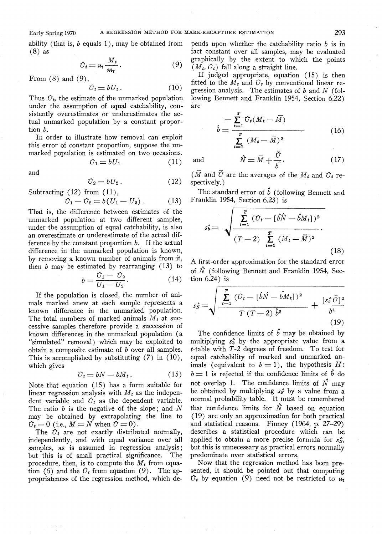ability (that is,  $b$  equals 1), may be obtained from (8) as

$$
\hat{U}_t = u_t \frac{M_t}{m_t}.
$$
\n(9)

From  $(8)$  and  $(9)$ ,

$$
\hat{U}_t = bU_t. \tag{10}
$$

Thus  $\hat{U}_t$ , the estimate of the unmarked population under the assumption of equal catchability, consistently overestimates or underestimates the actual unmarked population by a constant proportion b.

In order to illustrate how removal can exploit this error of constant proportion, suppose the unmarked population is estimated on two occasions.

$$
\hat{U}_1 = bU_1 \tag{11}
$$

and

$$
\hat{U}_2 = bU_2. \tag{12}
$$

Subtracting 
$$
(12)
$$
 from  $(11)$ ,

$$
\hat{U}_1 - \hat{U}_2 = b(U_1 - U_2) \,. \tag{13}
$$

That is, the difference between estimates of the unmarked population at two different samples, under the assumption of equal catchability, is also an overestimate or underestimate of the actual difference by the constant proportion  $b$ . If the actual difference in the unmarked population is known, by removing a known number of animals from it, then  $b$  may be estimated by rearranging  $(13)$  to

$$
b = \frac{U_1 - U_2}{U_1 - U_2}.
$$
 (14)

If the population is closed, the number of animals marked anew at each sample represents a known difference in the unmarked population. The total numbers of marked animals  $M_t$  at successive samples therefore provide a succession of known differences in the unmarked population (a "simulated" removal) which may be exploited to obtain a composite estimate of  $b$  over all samples. This is accomplished by substituting  $(7)$  in  $(10)$ , which gives

$$
\hat{U}_t = bN - bM_t. \tag{15}
$$

Note that equation (15) has a form suitable for linear regression analysis with  $M_t$  as the independent variable and  $\hat{U}_t$  as the dependent variable. The ratio  $b$  is the negative of the slope; and  $N$ may be obtained by extrapolating the line to  $\hat{U}_t = 0$  (i.e.,  $M = N$  when  $\hat{U} = 0$ ).

The  $\hat{U}_t$  are not exactly distributed normally, independently, and with equal variance over all samples, as is assumed in regression analysis;<br>but this is of small practical significance. The but this is of small practical significance. procedure, then, is to compute the  $M_t$  from equation (6) and the  $\hat{U}_t$  from equation (9). The appropriateness of the regression method, which depends upon whether the catchability ratio  $b$  is in fact constant over all samples, may be evaluated graphically by the extent to which the points  $(M_t, \hat{U}_t)$  fall along a straight line.

If judged appropriate, equation (15) is then fitted to the  $M_t$  and  $\hat{U}_t$  by conventional linear regression analysis. The estimates of  $b$  and  $N$  (following Bennett and Franklin 1954, Section 6.22) are

$$
\hat{b} = \frac{\sum_{t=1}^{T} \hat{U}_t (M_t - \bar{M})}{\sum_{t=1}^{T} (M_t - \bar{M})^2}
$$
(16)

and

 $(\overline{M}$  and  $\overline{O}$  are the averages of the  $M_t$  and  $\overline{O}_t$  respectively.)

 $\hat{N} = \bar{M} + \frac{\bar{U}}{\hat{K}}.$ 

The standard error of  $\hat{b}$  (following Bennett and Franklin 1954, Section 6.23) is

$$
\hat{s}_{\hat{b}} = \sqrt{\frac{\sum_{t=1}^{T} (\hat{U}_t - [\hat{b}\hat{N} - \hat{b}M_t])^2}{(T-2)\sum_{t=1}^{T} (M_t - \bar{M})^2}}.
$$
\n(18)

A first-order approximation for the standard error of  $\hat{N}$  (following Bennett and Franklin 1954, Section 6.24) is

$$
s_{\hat{N}} = \sqrt{\frac{\sum_{t=1}^{T} (\hat{U}_t - [\hat{b}\hat{N} - \hat{b}M_t])^2}{T (T - 2) \hat{b}^2} + \frac{[s_{\hat{b}}\tilde{U}]^2}{b^4}}
$$
(19)

The confidence limits of  $\hat{b}$  may be obtained by multiplying  $s_b^*$  by the appropriate value from a t-table with T-2 degrees of freedom. To test for equal catchability of marked and unmarked animals (equivalent to  $b = 1$ ), the hypothesis H:  $b=1$  is rejected if the confidence limits of  $\hat{b}$  do not overlap 1. The confidence limits of  $\hat{N}$  may be obtained by multiplying  $s_N$  by a value from a normal probability table. It must be remembered that confidence limits for  $\hat{N}$  based on equation (19) are only an approximation for both practical and statistical reasons. Finney (1964, p. 27-29) describes a statistical procedure which can be applied to obtain a more precise formula for  $s_N^*$ , but this is unnecessary as practical errors normally predominate over statistical errors.

Now that the regression method has been presented, it should be pointed out that computing  $\hat{U}_t$  by equation (9) need not be restricted to  $u_t$ 

 $(17)$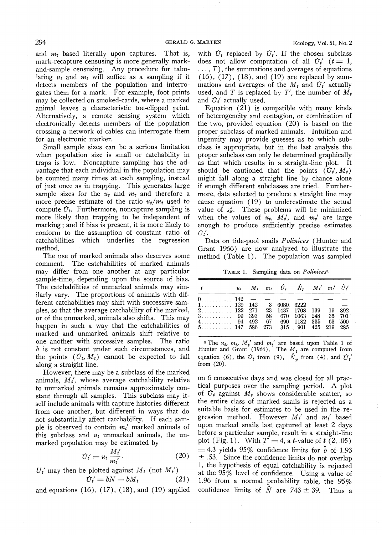and  $m_t$  based literally upon captures. That is, mark-recapture censusing is more generally markand-sample censusing. Any procedure for tabulating  $u_t$  and  $m_t$  will suffice as a sampling if it detects members of the population and interrogates them for a mark. For example, foot prints may be collected on smoked-cards, where a marked animal leaves a characteristic toe-clipped print. Alternatively, a remote sensing system which electronically detects members of the population crossing a network of cables can interrogate them for an electronic marker.

Small sample sizes can be a serious limitation when population size is small or catchability in traps is low. Noncapture sampling has the advantage that each individual in the population may be counted many times at each sampling, instead of just once as in trapping. This generates large sample sizes for the  $u_t$  and  $m_t$  and therefore a more precise estimate of the ratio  $u_t/m_t$  used to compute  $\hat{U}_t$ . Furthermore, noncapture sampling is more likely than trapping to be independent of marking; and if bias is present, it is more likely to conform to the assumption of constant ratio of catchahilities which underlies the regression method.

The use of marked animals also deserves some comment. The catchabilities of marked animals may differ from one another at any particular sample-time, depending upon the source of bias. The catchabilities of unmarked animals may similarly vary. The proportions of animals with different catchabilities may shift with successive samples, so that the average catchability of the marked, or of the unmarked, animals also shifts. This may happen in such a way that the catchabilities of marked and unmarked animals shift relative to one another with successive samples. The ratio b is not constant under such circumstances, and the points  $(\hat{U}_t, M_t)$  cannot be expected to fall along a straight line.

However, there may be a subclass of the marked animals,  $M_t'$ , whose average catchability relative to unmarked animals remains approximately constant through all samples. This subclass may itself include animals with capture histories different from one another, but different in ways that do not substantially affect catchability. If each sample is observed to contain  $m_t$ ' marked animals of this subclass and  $u_t$  unmarked animals, the unmarked population may be estimated by

$$
\hat{U}_t' = u_t \frac{M_t'}{m_t'}.
$$
\n(20)

 $U_t'$  may then be plotted against  $M_t$  (not  $M_t'$ )

$$
\hat{U}_t' = bN - bM_t \tag{21}
$$

and equations  $(16)$ ,  $(17)$ ,  $(18)$ , and  $(19)$  applied

with  $\hat{U}_t$  replaced by  $\hat{U}_t'$ . If the chosen subclass does not allow computation of all  $U_t'$  ( $t = 1$ ,  $\dots$ , T), the summations and averages of equations (16), (17), (18), and (19) are replaced by summations and averages of the  $M_t$  and  $\hat{U}_t'$  actually used, and T is replaced by T', the number of  $\overline{M}_t$ and  $\hat{U}_t$  actually used.

Equation (21) is compatible with many kinds of heterogeneity and contagion, or combination of the two, provided equation (20) is based on the proper subclass of marked animals. Intuition and ingenuity may provide guesses as to which subclass is appropriate, but in the last analysis the proper subclass can only be determined graphically as that which results in a straight-line plot. It should be cautioned that the points  $(\hat{U}_t, M_t)$ might fall along a straight line by chance alone if enough different subclasses are tried. Furthermore, data selected to produce a straight line may cause equation (19) to underestimate the actual value of  $s_N$ . These problems will be minimized when the values of  $u_t$ ,  $M_t'$ , and  $m_t'$  are large enough to produce sufficiently precise estimates  ${\cal O}_t'.$ 

Data on tide-pool snails Polinices (Hunter and Grant 1966) are now analyzed to illustrate the method (Table 1). The population was sampled

TABLE 1. Sampling data on *Polinicesa* 

| $\mathbf{t}$                                         |  | $u_t$ $M_t$ $m_t$ $\hat{U}_t$ $\hat{N}_p$ $M_t'$ $m_t'$ $\hat{U}_t'$ |  |  |
|------------------------------------------------------|--|----------------------------------------------------------------------|--|--|
| $0, \ldots, 142 - - - - - - - -$                     |  |                                                                      |  |  |
| $1, \ldots, 129$ 142 3 6080 6222 - - -               |  |                                                                      |  |  |
| $2, \ldots, \ldots, 122$ 271 23 1437 1708 139 19 892 |  |                                                                      |  |  |
| $3$ $99$ 393 58 670 1063 248 35 701                  |  |                                                                      |  |  |
| $4$ 94 492                                           |  | 67 690 1182 335 63 500                                               |  |  |
| $5, \ldots, 147$ 586 273 315 901 425 219 285         |  |                                                                      |  |  |

**a** The  $u_t$ ,  $m_t$ ,  $M_t'$  and  $m_t'$  are based upon Table 1 of Hunter and Grant (1966). The  $M_t$  are computed from equation (6), the  $\hat{U}_t$  from (9),  $\hat{N}_p$  from (4), and  $\hat{U}_t'$ from (20).

on 6 consecutive days and was closed for all practical purposes over the sampling period. A plot of  $\hat{U}_t$  against  $M_t$  shows considerable scatter, so the entire class of marked snails is rejected as a suitable basis for estimates to be used in the regression method. However  $M_t$  and  $m_t$  based upon marked snails last captured at least 2 days before a particular sample, result in a straight-line plot (Fig. 1). With  $T' = 4$ , a *t*-value of *t* (2, .05)  $=4.3$  yields 95% confidence limits for  $\hat{b}$  of 1.93  $\pm$  .53. Since the confidence limits do not overlap 1, the hypothesis of equal catchability is rejected at the 95% level of confidence. Using a value of 1.96 from a normal probability table, the  $95\%$ confidence limits of  $\hat{N}$  are 743  $\pm$  39. Thus a